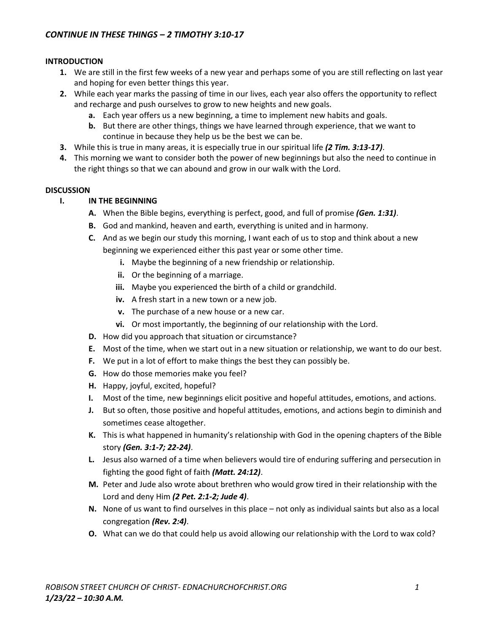### **INTRODUCTION**

- **1.** We are still in the first few weeks of a new year and perhaps some of you are still reflecting on last year and hoping for even better things this year.
- **2.** While each year marks the passing of time in our lives, each year also offers the opportunity to reflect and recharge and push ourselves to grow to new heights and new goals.
	- **a.** Each year offers us a new beginning, a time to implement new habits and goals.
	- **b.** But there are other things, things we have learned through experience, that we want to continue in because they help us be the best we can be.
- **3.** While this is true in many areas, it is especially true in our spiritual life *(2 Tim. 3:13-17)*.
- **4.** This morning we want to consider both the power of new beginnings but also the need to continue in the right things so that we can abound and grow in our walk with the Lord.

### **DISCUSSION**

## **I. IN THE BEGINNING**

- **A.** When the Bible begins, everything is perfect, good, and full of promise *(Gen. 1:31)*.
- **B.** God and mankind, heaven and earth, everything is united and in harmony.
- **C.** And as we begin our study this morning, I want each of us to stop and think about a new beginning we experienced either this past year or some other time.
	- **i.** Maybe the beginning of a new friendship or relationship.
	- **ii.** Or the beginning of a marriage.
	- **iii.** Maybe you experienced the birth of a child or grandchild.
	- **iv.** A fresh start in a new town or a new job.
	- **v.** The purchase of a new house or a new car.
	- **vi.** Or most importantly, the beginning of our relationship with the Lord.
- **D.** How did you approach that situation or circumstance?
- **E.** Most of the time, when we start out in a new situation or relationship, we want to do our best.
- **F.** We put in a lot of effort to make things the best they can possibly be.
- **G.** How do those memories make you feel?
- **H.** Happy, joyful, excited, hopeful?
- **I.** Most of the time, new beginnings elicit positive and hopeful attitudes, emotions, and actions.
- **J.** But so often, those positive and hopeful attitudes, emotions, and actions begin to diminish and sometimes cease altogether.
- **K.** This is what happened in humanity's relationship with God in the opening chapters of the Bible story *(Gen. 3:1-7; 22-24)*.
- **L.** Jesus also warned of a time when believers would tire of enduring suffering and persecution in fighting the good fight of faith *(Matt. 24:12)*.
- **M.** Peter and Jude also wrote about brethren who would grow tired in their relationship with the Lord and deny Him *(2 Pet. 2:1-2; Jude 4)*.
- **N.** None of us want to find ourselves in this place not only as individual saints but also as a local congregation *(Rev. 2:4)*.
- **O.** What can we do that could help us avoid allowing our relationship with the Lord to wax cold?